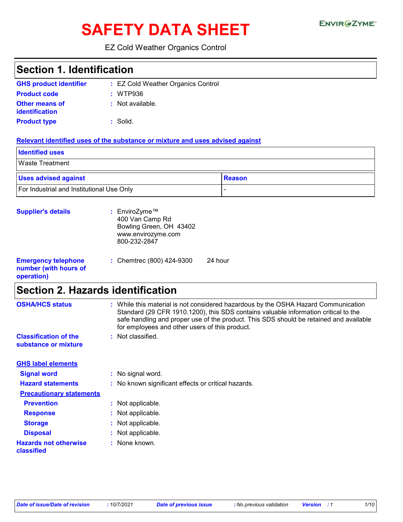# SAFETY DATA SHEET ENVIRGETMEN

### EZ Cold Weather Organics Control

| <b>Section 1. Identification</b>                                  |                                                                                                                                                                                                                                                                                                                       |
|-------------------------------------------------------------------|-----------------------------------------------------------------------------------------------------------------------------------------------------------------------------------------------------------------------------------------------------------------------------------------------------------------------|
| <b>GHS product identifier</b>                                     | : EZ Cold Weather Organics Control                                                                                                                                                                                                                                                                                    |
| <b>Product code</b>                                               | WTP936                                                                                                                                                                                                                                                                                                                |
| Other means of                                                    | : Not available.                                                                                                                                                                                                                                                                                                      |
| <b>identification</b>                                             |                                                                                                                                                                                                                                                                                                                       |
| <b>Product type</b>                                               | : Solid.                                                                                                                                                                                                                                                                                                              |
|                                                                   | Relevant identified uses of the substance or mixture and uses advised against                                                                                                                                                                                                                                         |
| <b>Identified uses</b>                                            |                                                                                                                                                                                                                                                                                                                       |
| <b>Waste Treatment</b>                                            |                                                                                                                                                                                                                                                                                                                       |
| <b>Uses advised against</b>                                       | <b>Reason</b>                                                                                                                                                                                                                                                                                                         |
| For Industrial and Institutional Use Only                         |                                                                                                                                                                                                                                                                                                                       |
|                                                                   |                                                                                                                                                                                                                                                                                                                       |
| <b>Supplier's details</b>                                         | : EnviroZyme™<br>400 Van Camp Rd<br>Bowling Green, OH 43402<br>www.envirozyme.com<br>800-232-2847                                                                                                                                                                                                                     |
| <b>Emergency telephone</b><br>number (with hours of<br>operation) | 24 hour<br>: Chemtrec (800) 424-9300                                                                                                                                                                                                                                                                                  |
| <b>Section 2. Hazards identification</b>                          |                                                                                                                                                                                                                                                                                                                       |
| <b>OSHA/HCS status</b>                                            | : While this material is not considered hazardous by the OSHA Hazard Communication<br>Standard (29 CFR 1910.1200), this SDS contains valuable information critical to the<br>safe handling and proper use of the product. This SDS should be retained and available<br>for employees and other users of this product. |
| <b>Classification of the</b><br>substance or mixture              | : Not classified.                                                                                                                                                                                                                                                                                                     |
| <b>GHS label elements</b>                                         |                                                                                                                                                                                                                                                                                                                       |
| <b>Signal word</b>                                                | : No signal word.                                                                                                                                                                                                                                                                                                     |
| <b>Hazard statements</b>                                          | No known significant effects or critical hazards.                                                                                                                                                                                                                                                                     |
| <b>Precautionary statements</b>                                   |                                                                                                                                                                                                                                                                                                                       |
| <b>Prevention</b>                                                 | Not applicable.<br>÷.                                                                                                                                                                                                                                                                                                 |
| <b>Response</b>                                                   | Not applicable.                                                                                                                                                                                                                                                                                                       |
| <b>Storage</b>                                                    | Not applicable.                                                                                                                                                                                                                                                                                                       |
| <b>Disposal</b>                                                   | Not applicable.                                                                                                                                                                                                                                                                                                       |
| <b>Hazards not otherwise</b><br>classified                        | None known.                                                                                                                                                                                                                                                                                                           |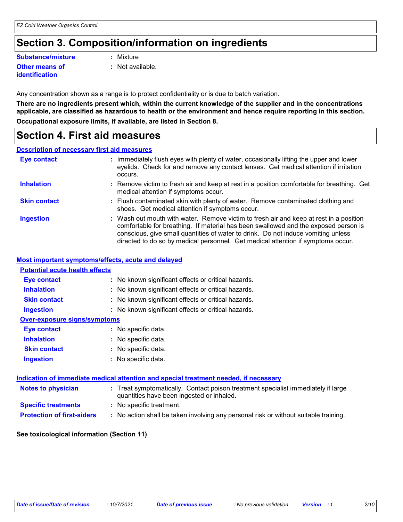### **Section 3. Composition/information on ingredients**

**Other means of Substance/mixture :**

**identification**

- Mixture
- **:** Not available.

Any concentration shown as a range is to protect confidentiality or is due to batch variation.

**There are no ingredients present which, within the current knowledge of the supplier and in the concentrations applicable, are classified as hazardous to health or the environment and hence require reporting in this section. Occupational exposure limits, if available, are listed in Section 8.**

### **Section 4. First aid measures**

#### **Description of necessary first aid measures**

| <b>Eye contact</b>  | : Immediately flush eyes with plenty of water, occasionally lifting the upper and lower<br>eyelids. Check for and remove any contact lenses. Get medical attention if irritation<br>occurs.                                                                                                                                                            |
|---------------------|--------------------------------------------------------------------------------------------------------------------------------------------------------------------------------------------------------------------------------------------------------------------------------------------------------------------------------------------------------|
| <b>Inhalation</b>   | : Remove victim to fresh air and keep at rest in a position comfortable for breathing. Get<br>medical attention if symptoms occur.                                                                                                                                                                                                                     |
| <b>Skin contact</b> | : Flush contaminated skin with plenty of water. Remove contaminated clothing and<br>shoes. Get medical attention if symptoms occur.                                                                                                                                                                                                                    |
| <b>Ingestion</b>    | : Wash out mouth with water. Remove victim to fresh air and keep at rest in a position<br>comfortable for breathing. If material has been swallowed and the exposed person is<br>conscious, give small quantities of water to drink. Do not induce vomiting unless<br>directed to do so by medical personnel. Get medical attention if symptoms occur. |

#### **Most important symptoms/effects, acute and delayed**

| <b>Potential acute health effects</b> |                                                                                                                                |
|---------------------------------------|--------------------------------------------------------------------------------------------------------------------------------|
| <b>Eye contact</b>                    | : No known significant effects or critical hazards.                                                                            |
| <b>Inhalation</b>                     | : No known significant effects or critical hazards.                                                                            |
| <b>Skin contact</b>                   | : No known significant effects or critical hazards.                                                                            |
| <b>Ingestion</b>                      | : No known significant effects or critical hazards.                                                                            |
| <b>Over-exposure signs/symptoms</b>   |                                                                                                                                |
| Eye contact                           | : No specific data.                                                                                                            |
| <b>Inhalation</b>                     | : No specific data.                                                                                                            |
| <b>Skin contact</b>                   | $:$ No specific data.                                                                                                          |
| <b>Ingestion</b>                      | : No specific data.                                                                                                            |
|                                       | <u>Indication of immediate medical attention and special treatment needed, if necessary</u>                                    |
|                                       |                                                                                                                                |
| <b>Notes to physician</b>             | : Treat symptomatically. Contact poison treatment specialist immediately if large<br>quantities have been ingested or inhaled. |
| <b>Specific treatments</b>            | : No specific treatment.                                                                                                       |
| <b>Protection of first-aiders</b>     | : No action shall be taken involving any personal risk or without suitable training.                                           |

#### **See toxicological information (Section 11)**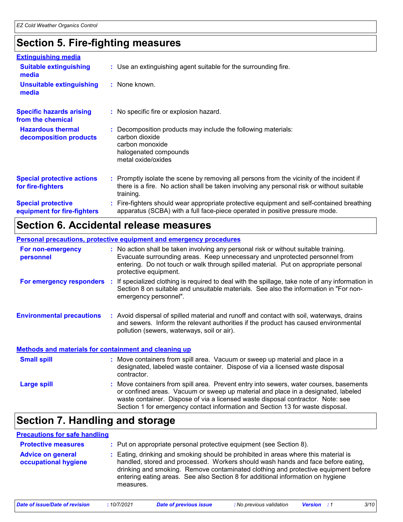### **Section 5. Fire-fighting measures**

| <b>Extinguishing media</b>                               |                                                                                                                                                                                                     |
|----------------------------------------------------------|-----------------------------------------------------------------------------------------------------------------------------------------------------------------------------------------------------|
| <b>Suitable extinguishing</b><br>media                   | : Use an extinguishing agent suitable for the surrounding fire.                                                                                                                                     |
| Unsuitable extinguishing<br>media                        | : None known.                                                                                                                                                                                       |
| <b>Specific hazards arising</b><br>from the chemical     | : No specific fire or explosion hazard.                                                                                                                                                             |
| <b>Hazardous thermal</b><br>decomposition products       | Decomposition products may include the following materials:<br>carbon dioxide<br>carbon monoxide<br>halogenated compounds<br>metal oxide/oxides                                                     |
| <b>Special protective actions</b><br>for fire-fighters   | : Promptly isolate the scene by removing all persons from the vicinity of the incident if<br>there is a fire. No action shall be taken involving any personal risk or without suitable<br>training. |
| <b>Special protective</b><br>equipment for fire-fighters | : Fire-fighters should wear appropriate protective equipment and self-contained breathing<br>apparatus (SCBA) with a full face-piece operated in positive pressure mode.                            |

### **Section 6. Accidental release measures**

### **Personal precautions, protective equipment and emergency procedures**

contractor.

| For non-emergency<br>personnel                        |     | : No action shall be taken involving any personal risk or without suitable training.<br>Evacuate surrounding areas. Keep unnecessary and unprotected personnel from<br>entering. Do not touch or walk through spilled material. Put on appropriate personal<br>protective equipment. |
|-------------------------------------------------------|-----|--------------------------------------------------------------------------------------------------------------------------------------------------------------------------------------------------------------------------------------------------------------------------------------|
| For emergency responders                              | -11 | If specialized clothing is required to deal with the spillage, take note of any information in<br>Section 8 on suitable and unsuitable materials. See also the information in "For non-<br>emergency personnel".                                                                     |
| <b>Environmental precautions</b>                      |     | : Avoid dispersal of spilled material and runoff and contact with soil, waterways, drains<br>and sewers. Inform the relevant authorities if the product has caused environmental<br>pollution (sewers, waterways, soil or air).                                                      |
| Methods and materials for containment and cleaning up |     |                                                                                                                                                                                                                                                                                      |
| <b>Small spill</b>                                    |     | : Move containers from spill area. Vacuum or sweep up material and place in a<br>designated, labeled waste container. Dispose of via a licensed waste disposal                                                                                                                       |

Move containers from spill area. Prevent entry into sewers, water courses, basements or confined areas. Vacuum or sweep up material and place in a designated, labeled waste container. Dispose of via a licensed waste disposal contractor. Note: see Section 1 for emergency contact information and Section 13 for waste disposal. **Large spill :**

### **Section 7. Handling and storage**

#### **Advice on general occupational hygiene** Eating, drinking and smoking should be prohibited in areas where this material is **:** handled, stored and processed. Workers should wash hands and face before eating, drinking and smoking. Remove contaminated clothing and protective equipment before entering eating areas. See also Section 8 for additional information on hygiene measures. **Protective measures :** Put on appropriate personal protective equipment (see Section 8). **Precautions for safe handling**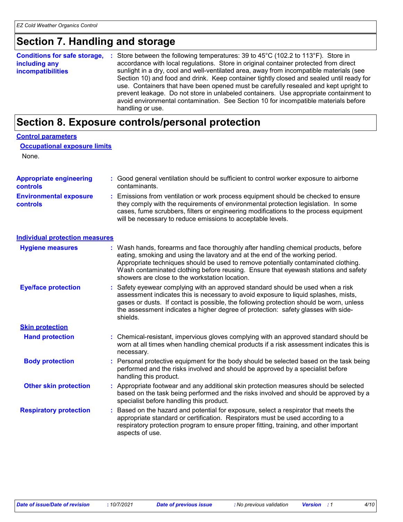### **Section 7. Handling and storage**

| <b>Conditions for safe storage,</b><br>including any<br><b>incompatibilities</b> | -10 | Store between the following temperatures: 39 to 45°C (102.2 to 113°F). Store in<br>accordance with local regulations. Store in original container protected from direct<br>sunlight in a dry, cool and well-ventilated area, away from incompatible materials (see<br>Section 10) and food and drink. Keep container tightly closed and sealed until ready for<br>use. Containers that have been opened must be carefully resealed and kept upright to<br>prevent leakage. Do not store in unlabeled containers. Use appropriate containment to<br>avoid environmental contamination. See Section 10 for incompatible materials before<br>handling or use. |  |
|----------------------------------------------------------------------------------|-----|------------------------------------------------------------------------------------------------------------------------------------------------------------------------------------------------------------------------------------------------------------------------------------------------------------------------------------------------------------------------------------------------------------------------------------------------------------------------------------------------------------------------------------------------------------------------------------------------------------------------------------------------------------|--|
|----------------------------------------------------------------------------------|-----|------------------------------------------------------------------------------------------------------------------------------------------------------------------------------------------------------------------------------------------------------------------------------------------------------------------------------------------------------------------------------------------------------------------------------------------------------------------------------------------------------------------------------------------------------------------------------------------------------------------------------------------------------------|--|

### **Section 8. Exposure controls/personal protection**

| <b>Control parameters</b>                        |    |                                                                                                                                                                                                                                                                                                                                                                                                   |
|--------------------------------------------------|----|---------------------------------------------------------------------------------------------------------------------------------------------------------------------------------------------------------------------------------------------------------------------------------------------------------------------------------------------------------------------------------------------------|
| <b>Occupational exposure limits</b>              |    |                                                                                                                                                                                                                                                                                                                                                                                                   |
| None.                                            |    |                                                                                                                                                                                                                                                                                                                                                                                                   |
| <b>Appropriate engineering</b><br>controls       |    | : Good general ventilation should be sufficient to control worker exposure to airborne<br>contaminants.                                                                                                                                                                                                                                                                                           |
| <b>Environmental exposure</b><br><b>controls</b> |    | Emissions from ventilation or work process equipment should be checked to ensure<br>they comply with the requirements of environmental protection legislation. In some<br>cases, fume scrubbers, filters or engineering modifications to the process equipment<br>will be necessary to reduce emissions to acceptable levels.                                                                     |
| <b>Individual protection measures</b>            |    |                                                                                                                                                                                                                                                                                                                                                                                                   |
| <b>Hygiene measures</b>                          |    | : Wash hands, forearms and face thoroughly after handling chemical products, before<br>eating, smoking and using the lavatory and at the end of the working period.<br>Appropriate techniques should be used to remove potentially contaminated clothing.<br>Wash contaminated clothing before reusing. Ensure that eyewash stations and safety<br>showers are close to the workstation location. |
| <b>Eye/face protection</b>                       |    | Safety eyewear complying with an approved standard should be used when a risk<br>assessment indicates this is necessary to avoid exposure to liquid splashes, mists,<br>gases or dusts. If contact is possible, the following protection should be worn, unless<br>the assessment indicates a higher degree of protection: safety glasses with side-<br>shields.                                  |
| <b>Skin protection</b>                           |    |                                                                                                                                                                                                                                                                                                                                                                                                   |
| <b>Hand protection</b>                           |    | : Chemical-resistant, impervious gloves complying with an approved standard should be<br>worn at all times when handling chemical products if a risk assessment indicates this is<br>necessary.                                                                                                                                                                                                   |
| <b>Body protection</b>                           |    | : Personal protective equipment for the body should be selected based on the task being<br>performed and the risks involved and should be approved by a specialist before<br>handling this product.                                                                                                                                                                                               |
| <b>Other skin protection</b>                     |    | : Appropriate footwear and any additional skin protection measures should be selected<br>based on the task being performed and the risks involved and should be approved by a<br>specialist before handling this product.                                                                                                                                                                         |
| <b>Respiratory protection</b>                    | t. | Based on the hazard and potential for exposure, select a respirator that meets the<br>appropriate standard or certification. Respirators must be used according to a<br>respiratory protection program to ensure proper fitting, training, and other important<br>aspects of use.                                                                                                                 |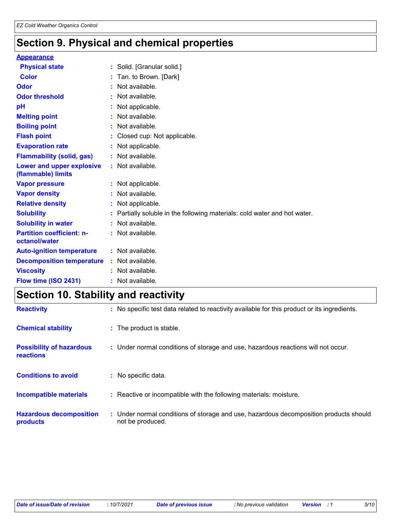### **Section 9. Physical and chemical properties**

| <b>Appearance</b>                                      |                                                                           |
|--------------------------------------------------------|---------------------------------------------------------------------------|
| <b>Physical state</b>                                  | : Solid. [Granular solid.]                                                |
| <b>Color</b>                                           | : Tan. to Brown. [Dark]                                                   |
| <b>Odor</b>                                            | : Not available.                                                          |
| <b>Odor threshold</b>                                  | : Not available.                                                          |
| pH                                                     | : Not applicable.                                                         |
| <b>Melting point</b>                                   | : Not available.                                                          |
| <b>Boiling point</b>                                   | : Not available.                                                          |
| <b>Flash point</b>                                     | : Closed cup: Not applicable.                                             |
| <b>Evaporation rate</b>                                | : Not applicable.                                                         |
| <b>Flammability (solid, gas)</b>                       | : Not available.                                                          |
| <b>Lower and upper explosive</b><br>(flammable) limits | : Not available.                                                          |
| <b>Vapor pressure</b>                                  | : Not applicable.                                                         |
| <b>Vapor density</b>                                   | : Not available.                                                          |
| <b>Relative density</b>                                | : Not applicable.                                                         |
| <b>Solubility</b>                                      | : Partially soluble in the following materials: cold water and hot water. |
| <b>Solubility in water</b>                             | : Not available.                                                          |
| <b>Partition coefficient: n-</b><br>octanol/water      | : Not available.                                                          |
| <b>Auto-ignition temperature</b>                       | : Not available.                                                          |
| <b>Decomposition temperature</b>                       | : Not available.                                                          |
| <b>Viscosity</b>                                       | : Not available.                                                          |
| Flow time (ISO 2431)                                   | : Not available.                                                          |

### **Section 10. Stability and reactivity**

| <b>Reactivity</b>                                   | : No specific test data related to reactivity available for this product or its ingredients.              |
|-----------------------------------------------------|-----------------------------------------------------------------------------------------------------------|
| <b>Chemical stability</b>                           | : The product is stable.                                                                                  |
| <b>Possibility of hazardous</b><br><b>reactions</b> | : Under normal conditions of storage and use, hazardous reactions will not occur.                         |
| <b>Conditions to avoid</b>                          | : No specific data.                                                                                       |
| <b>Incompatible materials</b>                       | Reactive or incompatible with the following materials: moisture.                                          |
| <b>Hazardous decomposition</b><br>products          | : Under normal conditions of storage and use, hazardous decomposition products should<br>not be produced. |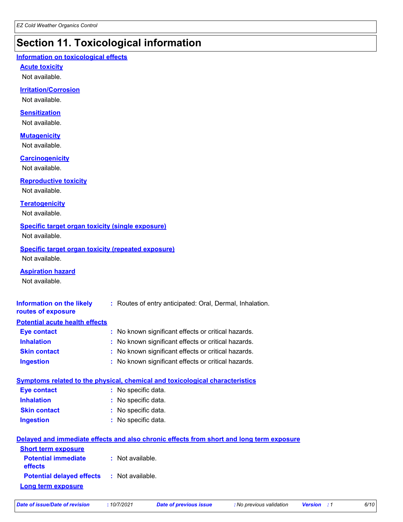### **Section 11. Toxicological information**

### **Information on toxicological effects**

#### **Acute toxicity**

Not available.

### **Irritation/Corrosion**

Not available.

### **Sensitization**

Not available.

### **Mutagenicity**

Not available.

### **Carcinogenicity**

Not available.

### **Reproductive toxicity**

Not available.

### **Teratogenicity**

Not available.

### **Specific target organ toxicity (single exposure)**

Not available.

### **Specific target organ toxicity (repeated exposure)**

Not available.

### **Aspiration hazard**

Not available.

| Information on the likely<br>routes of exposure   | : Routes of entry anticipated: Oral, Dermal, Inhalation.                                 |
|---------------------------------------------------|------------------------------------------------------------------------------------------|
| <b>Potential acute health effects</b>             |                                                                                          |
| <b>Eye contact</b>                                | : No known significant effects or critical hazards.                                      |
| <b>Inhalation</b>                                 | : No known significant effects or critical hazards.                                      |
| <b>Skin contact</b>                               | : No known significant effects or critical hazards.                                      |
| <b>Ingestion</b>                                  | : No known significant effects or critical hazards.                                      |
|                                                   | <b>Symptoms related to the physical, chemical and toxicological characteristics</b>      |
| <b>Eye contact</b>                                | : No specific data.                                                                      |
| <b>Inhalation</b>                                 | : No specific data.                                                                      |
| <b>Skin contact</b>                               | : No specific data.                                                                      |
| <b>Ingestion</b>                                  | : No specific data.                                                                      |
|                                                   | Delayed and immediate effects and also chronic effects from short and long term exposure |
| <b>Short term exposure</b>                        |                                                                                          |
| <b>Potential immediate</b><br>effects             | : Not available.                                                                         |
| <b>Potential delayed effects : Not available.</b> |                                                                                          |
| <u>Long term exposure</u>                         |                                                                                          |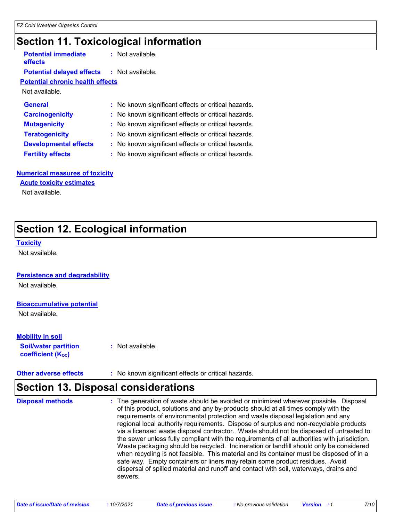### **Section 11. Toxicological information**

| <b>Potential immediate</b><br>effects   |  | : Not available. |  |
|-----------------------------------------|--|------------------|--|
| <b>Potential delayed effects</b>        |  | : Not available. |  |
| <b>Potential chronic health effects</b> |  |                  |  |

Not available.

| <b>General</b>               | : No known significant effects or critical hazards. |
|------------------------------|-----------------------------------------------------|
| <b>Carcinogenicity</b>       | : No known significant effects or critical hazards. |
| <b>Mutagenicity</b>          | : No known significant effects or critical hazards. |
| <b>Teratogenicity</b>        | : No known significant effects or critical hazards. |
| <b>Developmental effects</b> | : No known significant effects or critical hazards. |
| <b>Fertility effects</b>     | : No known significant effects or critical hazards. |

#### **Numerical measures of toxicity**

### **Acute toxicity estimates**

Not available.

### **Section 12. Ecological information**

#### **Toxicity**

Not available.

### **Persistence and degradability**

Not available.

### **Bioaccumulative potential**

Not available.

### **Mobility in soil**

**Soil/water partition coefficient (KOC) :** Not available.

**Other adverse effects** : No known significant effects or critical hazards.

### **Section 13. Disposal considerations**

The generation of waste should be avoided or minimized wherever possible. Disposal of this product, solutions and any by-products should at all times comply with the requirements of environmental protection and waste disposal legislation and any regional local authority requirements. Dispose of surplus and non-recyclable products via a licensed waste disposal contractor. Waste should not be disposed of untreated to the sewer unless fully compliant with the requirements of all authorities with jurisdiction. Waste packaging should be recycled. Incineration or landfill should only be considered when recycling is not feasible. This material and its container must be disposed of in a safe way. Empty containers or liners may retain some product residues. Avoid dispersal of spilled material and runoff and contact with soil, waterways, drains and sewers. **Disposal methods :**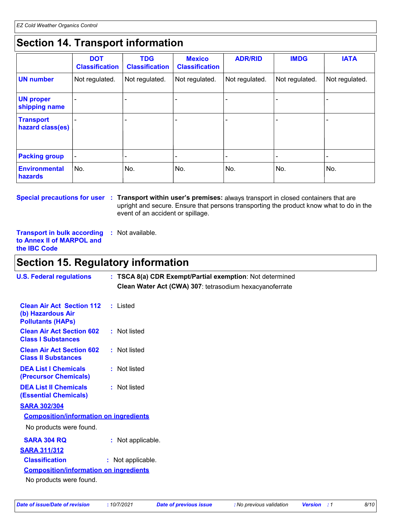## **Section 14. Transport information**

|                                      | <b>DOT</b><br><b>Classification</b> | <b>TDG</b><br><b>Classification</b> | <b>Mexico</b><br><b>Classification</b> | <b>ADR/RID</b> | <b>IMDG</b>    | <b>IATA</b>              |
|--------------------------------------|-------------------------------------|-------------------------------------|----------------------------------------|----------------|----------------|--------------------------|
| <b>UN number</b>                     | Not regulated.                      | Not regulated.                      | Not regulated.                         | Not regulated. | Not regulated. | Not regulated.           |
| <b>UN proper</b><br>shipping name    |                                     |                                     |                                        |                |                |                          |
| <b>Transport</b><br>hazard class(es) |                                     |                                     |                                        |                |                |                          |
| <b>Packing group</b>                 |                                     |                                     |                                        |                |                | $\overline{\phantom{a}}$ |
| <b>Environmental</b><br>hazards      | No.                                 | No.                                 | No.                                    | No.            | No.            | No.                      |

**Special precautions for user** : Transport within user's premises: always transport in closed containers that are upright and secure. Ensure that persons transporting the product know what to do in the event of an accident or spillage.

**Transport in bulk according :** Not available. **to Annex II of MARPOL and the IBC Code**

### **Section 15. Regulatory information**

| <b>U.S. Federal regulations</b>                                                   | : TSCA 8(a) CDR Exempt/Partial exemption: Not determined<br>Clean Water Act (CWA) 307: tetrasodium hexacyanoferrate |
|-----------------------------------------------------------------------------------|---------------------------------------------------------------------------------------------------------------------|
| <b>Clean Air Act Section 112</b><br>(b) Hazardous Air<br><b>Pollutants (HAPS)</b> | : Listed                                                                                                            |
| <b>Clean Air Act Section 602</b><br><b>Class I Substances</b>                     | : Not listed                                                                                                        |
| <b>Clean Air Act Section 602</b><br><b>Class II Substances</b>                    | : Not listed                                                                                                        |
| <b>DEA List I Chemicals</b><br><b>(Precursor Chemicals)</b>                       | : Not listed                                                                                                        |
| <b>DEA List II Chemicals</b><br><b>(Essential Chemicals)</b>                      | : Not listed                                                                                                        |
| <b>SARA 302/304</b>                                                               |                                                                                                                     |
| <b>Composition/information on ingredients</b>                                     |                                                                                                                     |
| No products were found.                                                           |                                                                                                                     |
| <b>SARA 304 RQ</b>                                                                | : Not applicable.                                                                                                   |
| <b>SARA 311/312</b>                                                               |                                                                                                                     |
| <b>Classification</b>                                                             | : Not applicable.                                                                                                   |
| <b>Composition/information on ingredients</b>                                     |                                                                                                                     |
| No products were found.                                                           |                                                                                                                     |
|                                                                                   |                                                                                                                     |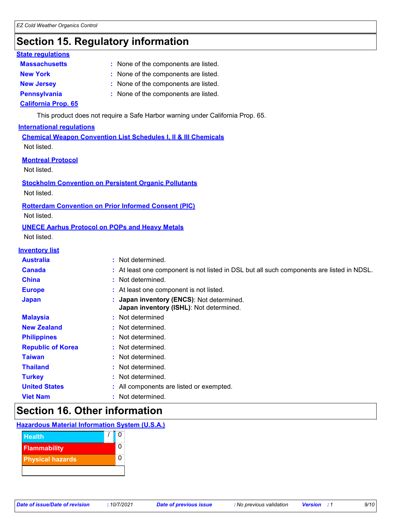### **Section 15. Regulatory information**

### **State regulations**

| <b>Massachusetts</b>       | : None of the components are listed. |
|----------------------------|--------------------------------------|
| <b>New York</b>            | : None of the components are listed. |
| <b>New Jersey</b>          | : None of the components are listed. |
| <b>Pennsylvania</b>        | : None of the components are listed. |
| <b>California Prop. 65</b> |                                      |

This product does not require a Safe Harbor warning under California Prop. 65.

### **International regulations**

**Chemical Weapon Convention List Schedules I, II & III Chemicals** Not listed.

#### **Montreal Protocol**

Not listed.

#### **Stockholm Convention on Persistent Organic Pollutants**

Not listed.

### **Rotterdam Convention on Prior Informed Consent (PIC)**

Not listed.

### **UNECE Aarhus Protocol on POPs and Heavy Metals**

Not listed.

### **Inventory list**

| <b>Australia</b>         | : Not determined.                                                                         |
|--------------------------|-------------------------------------------------------------------------------------------|
| <b>Canada</b>            | : At least one component is not listed in DSL but all such components are listed in NDSL. |
| <b>China</b>             | : Not determined.                                                                         |
| <b>Europe</b>            | : At least one component is not listed.                                                   |
| <b>Japan</b>             | : Japan inventory (ENCS): Not determined.<br>Japan inventory (ISHL): Not determined.      |
| <b>Malaysia</b>          | : Not determined                                                                          |
| <b>New Zealand</b>       | : Not determined.                                                                         |
| <b>Philippines</b>       | : Not determined.                                                                         |
| <b>Republic of Korea</b> | : Not determined.                                                                         |
| <b>Taiwan</b>            | : Not determined.                                                                         |
| <b>Thailand</b>          | : Not determined.                                                                         |
| <b>Turkey</b>            | : Not determined.                                                                         |
| <b>United States</b>     | : All components are listed or exempted.                                                  |
| <b>Viet Nam</b>          | : Not determined.                                                                         |

### **Section 16. Other information**

### **Hazardous Material Information System (U.S.A.)**

| <b>Health</b>           |  |
|-------------------------|--|
| <b>Flammability</b>     |  |
| <b>Physical hazards</b> |  |
|                         |  |